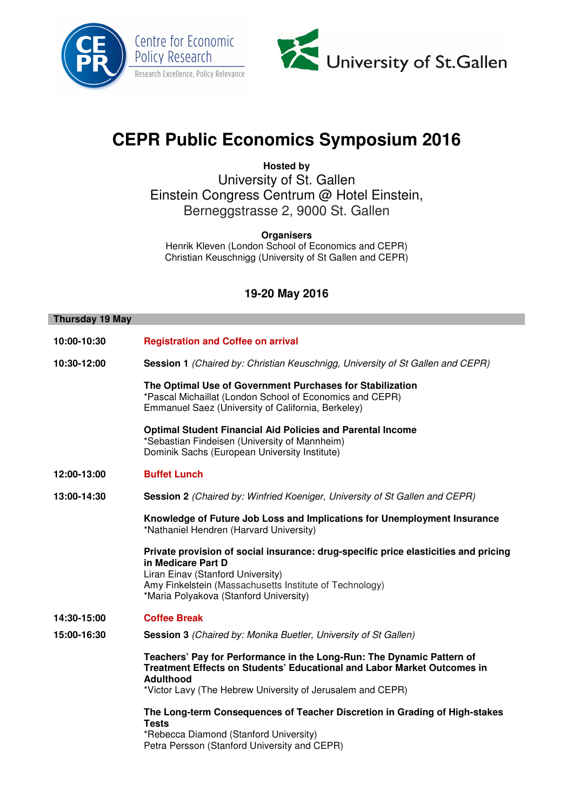



# **CEPR Public Economics Symposium 2016**

**Hosted by**  University of St. Gallen Einstein Congress Centrum @ Hotel Einstein, Berneggstrasse 2, 9000 St. Gallen

**Organisers**  Henrik Kleven (London School of Economics and CEPR) Christian Keuschnigg (University of St Gallen and CEPR)

## **19-20 May 2016**

#### **Thursday 19 May**

**10:00-10:30 Registration and Coffee on arrival 10:30-12:00 Session 1** (Chaired by: Christian Keuschnigg, University of St Gallen and CEPR) **The Optimal Use of Government Purchases for Stabilization**  \*Pascal Michaillat (London School of Economics and CEPR) Emmanuel Saez (University of California, Berkeley) **Optimal Student Financial Aid Policies and Parental Income**  \*Sebastian Findeisen (University of Mannheim) Dominik Sachs (European University Institute) **12:00-13:00 Buffet Lunch 13:00-14:30 Session 2** (Chaired by: Winfried Koeniger, University of St Gallen and CEPR) **Knowledge of Future Job Loss and Implications for Unemployment Insurance**  \*Nathaniel Hendren (Harvard University) **Private provision of social insurance: drug-specific price elasticities and pricing in Medicare Part D**  Liran Einav (Stanford University) Amy Finkelstein (Massachusetts Institute of Technology) \*Maria Polyakova (Stanford University) **14:30-15:00 Coffee Break 15:00-16:30 Session 3** (Chaired by: Monika Buetler, University of St Gallen) **Teachers' Pay for Performance in the Long-Run: The Dynamic Pattern of Treatment Effects on Students' Educational and Labor Market Outcomes in Adulthood**  \*Victor Lavy (The Hebrew University of Jerusalem and CEPR) **The Long-term Consequences of Teacher Discretion in Grading of High-stakes Tests** 

> \*Rebecca Diamond (Stanford University) Petra Persson (Stanford University and CEPR)